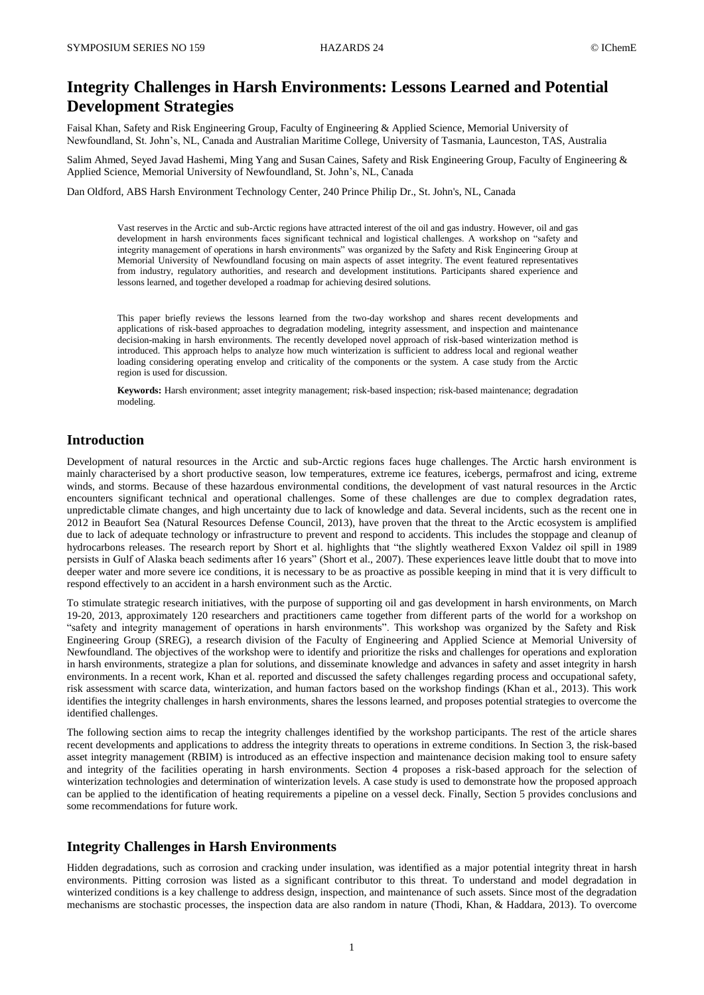# **Integrity Challenges in Harsh Environments: Lessons Learned and Potential Development Strategies**

Faisal Khan, Safety and Risk Engineering Group, Faculty of Engineering & Applied Science, Memorial University of Newfoundland, St. John's, NL, Canada and Australian Maritime College, University of Tasmania, Launceston, TAS, Australia

Salim Ahmed, Seyed Javad Hashemi, Ming Yang and Susan Caines, Safety and Risk Engineering Group, Faculty of Engineering & Applied Science, Memorial University of Newfoundland, St. John's, NL, Canada

Dan Oldford, ABS Harsh Environment Technology Center, 240 Prince Philip Dr., St. John's, NL, Canada

Vast reserves in the Arctic and sub-Arctic regions have attracted interest of the oil and gas industry. However, oil and gas development in harsh environments faces significant technical and logistical challenges. A workshop on "safety and integrity management of operations in harsh environments" was organized by the Safety and Risk Engineering Group at Memorial University of Newfoundland focusing on main aspects of asset integrity. The event featured representatives from industry, regulatory authorities, and research and development institutions. Participants shared experience and lessons learned, and together developed a roadmap for achieving desired solutions.

This paper briefly reviews the lessons learned from the two-day workshop and shares recent developments and applications of risk-based approaches to degradation modeling, integrity assessment, and inspection and maintenance decision-making in harsh environments. The recently developed novel approach of risk-based winterization method is introduced. This approach helps to analyze how much winterization is sufficient to address local and regional weather loading considering operating envelop and criticality of the components or the system. A case study from the Arctic region is used for discussion.

**Keywords:** Harsh environment; asset integrity management; risk-based inspection; risk-based maintenance; degradation modeling.

## **Introduction**

Development of natural resources in the Arctic and sub-Arctic regions faces huge challenges. The Arctic harsh environment is mainly characterised by a short productive season, low temperatures, extreme ice features, icebergs, permafrost and icing, extreme winds, and storms. Because of these hazardous environmental conditions, the development of vast natural resources in the Arctic encounters significant technical and operational challenges. Some of these challenges are due to complex degradation rates, unpredictable climate changes, and high uncertainty due to lack of knowledge and data. Several incidents, such as the recent one in 2012 in Beaufort Sea (Natural Resources Defense Council, 2013), have proven that the threat to the Arctic ecosystem is amplified due to lack of adequate technology or infrastructure to prevent and respond to accidents. This includes the stoppage and cleanup of hydrocarbons releases. The research report by Short et al. highlights that "the slightly weathered Exxon Valdez oil spill in 1989 persists in Gulf of Alaska beach sediments after 16 years" (Short et al., 2007). These experiences leave little doubt that to move into deeper water and more severe ice conditions, it is necessary to be as proactive as possible keeping in mind that it is very difficult to respond effectively to an accident in a harsh environment such as the Arctic.

To stimulate strategic research initiatives, with the purpose of supporting oil and gas development in harsh environments, on March 19-20, 2013, approximately 120 researchers and practitioners came together from different parts of the world for a workshop on "safety and integrity management of operations in harsh environments". This workshop was organized by the Safety and Risk Engineering Group (SREG), a research division of the Faculty of Engineering and Applied Science at Memorial University of Newfoundland. The objectives of the workshop were to identify and prioritize the risks and challenges for operations and exploration in harsh environments, strategize a plan for solutions, and disseminate knowledge and advances in safety and asset integrity in harsh environments. In a recent work, Khan et al. reported and discussed the safety challenges regarding process and occupational safety, risk assessment with scarce data, winterization, and human factors based on the workshop findings (Khan et al., 2013). This work identifies the integrity challenges in harsh environments, shares the lessons learned, and proposes potential strategies to overcome the identified challenges.

The following section aims to recap the integrity challenges identified by the workshop participants. The rest of the article shares recent developments and applications to address the integrity threats to operations in extreme conditions. In Section 3, the risk-based asset integrity management (RBIM) is introduced as an effective inspection and maintenance decision making tool to ensure safety and integrity of the facilities operating in harsh environments. Section 4 proposes a risk-based approach for the selection of winterization technologies and determination of winterization levels. A case study is used to demonstrate how the proposed approach can be applied to the identification of heating requirements a pipeline on a vessel deck. Finally, Section 5 provides conclusions and some recommendations for future work.

## **Integrity Challenges in Harsh Environments**

Hidden degradations, such as corrosion and cracking under insulation, was identified as a major potential integrity threat in harsh environments. Pitting corrosion was listed as a significant contributor to this threat. To understand and model degradation in winterized conditions is a key challenge to address design, inspection, and maintenance of such assets. Since most of the degradation mechanisms are stochastic processes, the inspection data are also random in nature (Thodi, Khan, & Haddara, 2013). To overcome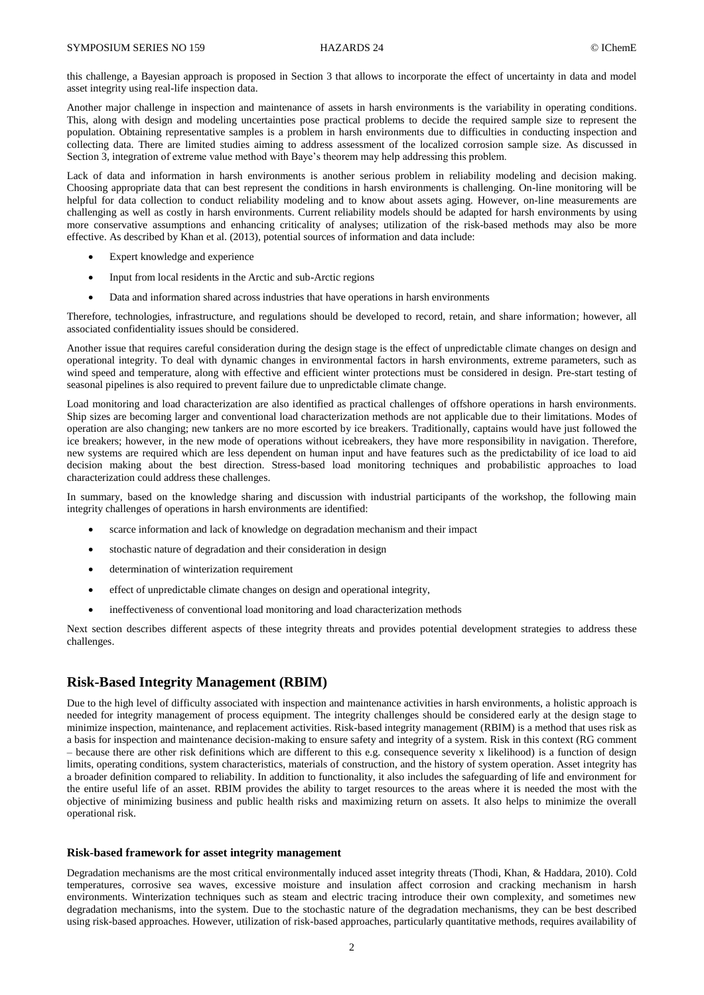this challenge, a Bayesian approach is proposed in Section 3 that allows to incorporate the effect of uncertainty in data and model asset integrity using real-life inspection data.

Another major challenge in inspection and maintenance of assets in harsh environments is the variability in operating conditions. This, along with design and modeling uncertainties pose practical problems to decide the required sample size to represent the population. Obtaining representative samples is a problem in harsh environments due to difficulties in conducting inspection and collecting data. There are limited studies aiming to address assessment of the localized corrosion sample size. As discussed in Section 3, integration of extreme value method with Baye's theorem may help addressing this problem.

Lack of data and information in harsh environments is another serious problem in reliability modeling and decision making. Choosing appropriate data that can best represent the conditions in harsh environments is challenging. On-line monitoring will be helpful for data collection to conduct reliability modeling and to know about assets aging. However, on-line measurements are challenging as well as costly in harsh environments. Current reliability models should be adapted for harsh environments by using more conservative assumptions and enhancing criticality of analyses; utilization of the risk-based methods may also be more effective. As described by Khan et al. (2013), potential sources of information and data include:

- Expert knowledge and experience
- Input from local residents in the Arctic and sub-Arctic regions
- Data and information shared across industries that have operations in harsh environments

Therefore, technologies, infrastructure, and regulations should be developed to record, retain, and share information; however, all associated confidentiality issues should be considered.

Another issue that requires careful consideration during the design stage is the effect of unpredictable climate changes on design and operational integrity. To deal with dynamic changes in environmental factors in harsh environments, extreme parameters, such as wind speed and temperature, along with effective and efficient winter protections must be considered in design. Pre-start testing of seasonal pipelines is also required to prevent failure due to unpredictable climate change.

Load monitoring and load characterization are also identified as practical challenges of offshore operations in harsh environments. Ship sizes are becoming larger and conventional load characterization methods are not applicable due to their limitations. Modes of operation are also changing; new tankers are no more escorted by ice breakers. Traditionally, captains would have just followed the ice breakers; however, in the new mode of operations without icebreakers, they have more responsibility in navigation. Therefore, new systems are required which are less dependent on human input and have features such as the predictability of ice load to aid decision making about the best direction. Stress-based load monitoring techniques and probabilistic approaches to load characterization could address these challenges.

In summary, based on the knowledge sharing and discussion with industrial participants of the workshop, the following main integrity challenges of operations in harsh environments are identified:

- scarce information and lack of knowledge on degradation mechanism and their impact
- stochastic nature of degradation and their consideration in design
- determination of winterization requirement
- effect of unpredictable climate changes on design and operational integrity,
- ineffectiveness of conventional load monitoring and load characterization methods

Next section describes different aspects of these integrity threats and provides potential development strategies to address these challenges.

## **Risk-Based Integrity Management (RBIM)**

Due to the high level of difficulty associated with inspection and maintenance activities in harsh environments, a holistic approach is needed for integrity management of process equipment. The integrity challenges should be considered early at the design stage to minimize inspection, maintenance, and replacement activities. Risk-based integrity management (RBIM) is a method that uses risk as a basis for inspection and maintenance decision-making to ensure safety and integrity of a system. Risk in this context (RG comment – because there are other risk definitions which are different to this e.g. consequence severity x likelihood) is a function of design limits, operating conditions, system characteristics, materials of construction, and the history of system operation. Asset integrity has a broader definition compared to reliability. In addition to functionality, it also includes the safeguarding of life and environment for the entire useful life of an asset. RBIM provides the ability to target resources to the areas where it is needed the most with the objective of minimizing business and public health risks and maximizing return on assets. It also helps to minimize the overall operational risk.

#### **Risk-based framework for asset integrity management**

Degradation mechanisms are the most critical environmentally induced asset integrity threats (Thodi, Khan, & Haddara, 2010). Cold temperatures, corrosive sea waves, excessive moisture and insulation affect corrosion and cracking mechanism in harsh environments. Winterization techniques such as steam and electric tracing introduce their own complexity, and sometimes new degradation mechanisms, into the system. Due to the stochastic nature of the degradation mechanisms, they can be best described using risk-based approaches. However, utilization of risk-based approaches, particularly quantitative methods, requires availability of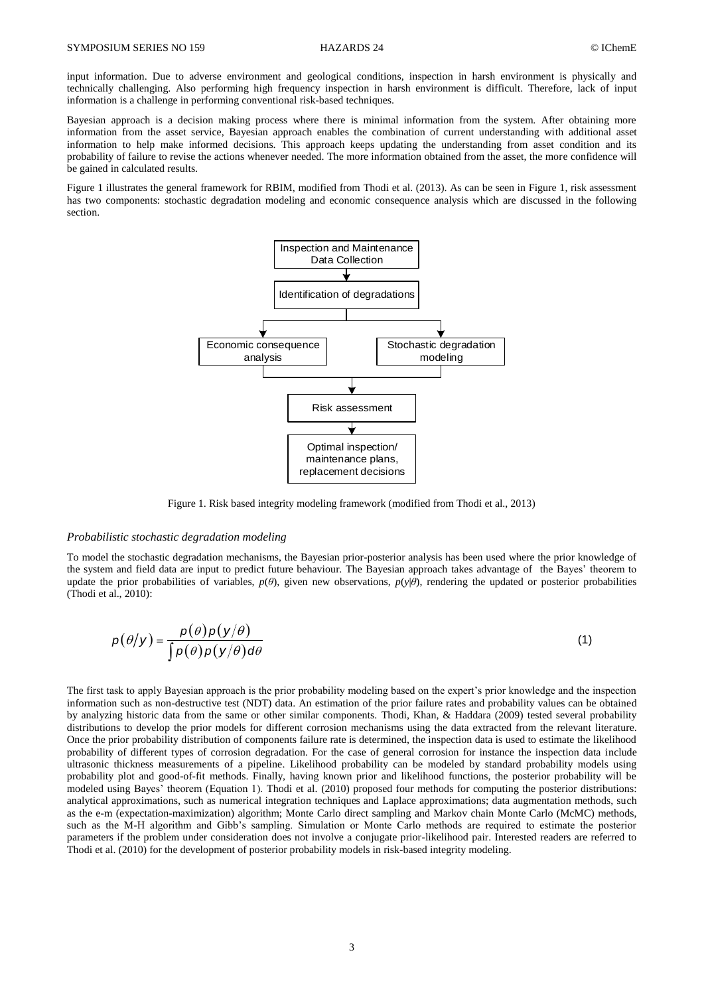input information. Due to adverse environment and geological conditions, inspection in harsh environment is physically and technically challenging. Also performing high frequency inspection in harsh environment is difficult. Therefore, lack of input information is a challenge in performing conventional risk-based techniques.

Bayesian approach is a decision making process where there is minimal information from the system. After obtaining more information from the asset service, Bayesian approach enables the combination of current understanding with additional asset information to help make informed decisions. This approach keeps updating the understanding from asset condition and its probability of failure to revise the actions whenever needed. The more information obtained from the asset, the more confidence will be gained in calculated results.

Figure 1 illustrates the general framework for RBIM, modified from Thodi et al. (2013). As can be seen in Figure 1, risk assessment has two components: stochastic degradation modeling and economic consequence analysis which are discussed in the following section.



Figure 1. Risk based integrity modeling framework (modified from Thodi et al., 2013)

### *Probabilistic stochastic degradation modeling*

To model the stochastic degradation mechanisms, the Bayesian prior-posterior analysis has been used where the prior knowledge of the system and field data are input to predict future behaviour. The Bayesian approach takes advantage of the Bayes' theorem to update the prior probabilities of variables,  $p(\theta)$ , given new observations,  $p(y|\theta)$ , rendering the updated or posterior probabilities (Thodi et al., 2010):

$$
p(\theta|\mathbf{y}) = \frac{p(\theta)p(\mathbf{y}/\theta)}{\int p(\theta)p(\mathbf{y}/\theta)d\theta}
$$
 (1)

The first task to apply Bayesian approach is the prior probability modeling based on the expert's prior knowledge and the inspection information such as non-destructive test (NDT) data. An estimation of the prior failure rates and probability values can be obtained by analyzing historic data from the same or other similar components. Thodi, Khan, & Haddara (2009) tested several probability distributions to develop the prior models for different corrosion mechanisms using the data extracted from the relevant literature. Once the prior probability distribution of components failure rate is determined, the inspection data is used to estimate the likelihood probability of different types of corrosion degradation. For the case of general corrosion for instance the inspection data include ultrasonic thickness measurements of a pipeline. Likelihood probability can be modeled by standard probability models using probability plot and good-of-fit methods. Finally, having known prior and likelihood functions, the posterior probability will be modeled using Bayes' theorem (Equation 1). Thodi et al. (2010) proposed four methods for computing the posterior distributions: analytical approximations, such as numerical integration techniques and Laplace approximations; data augmentation methods, such as the e-m (expectation-maximization) algorithm; Monte Carlo direct sampling and Markov chain Monte Carlo (McMC) methods, such as the M-H algorithm and Gibb's sampling. Simulation or Monte Carlo methods are required to estimate the posterior parameters if the problem under consideration does not involve a conjugate prior-likelihood pair. Interested readers are referred to Thodi et al. (2010) for the development of posterior probability models in risk-based integrity modeling.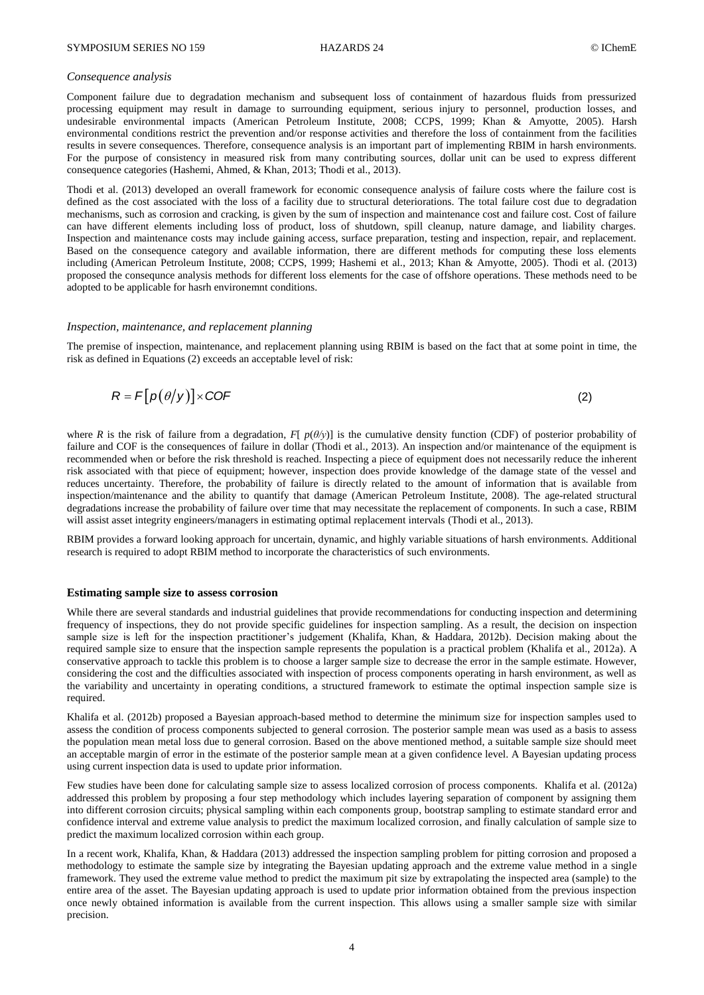### *Consequence analysis*

Component failure due to degradation mechanism and subsequent loss of containment of hazardous fluids from pressurized processing equipment may result in damage to surrounding equipment, serious injury to personnel, production losses, and undesirable environmental impacts (American Petroleum Institute, 2008; CCPS, 1999; Khan & Amyotte, 2005). Harsh environmental conditions restrict the prevention and/or response activities and therefore the loss of containment from the facilities results in severe consequences. Therefore, consequence analysis is an important part of implementing RBIM in harsh environments. For the purpose of consistency in measured risk from many contributing sources, dollar unit can be used to express different consequence categories (Hashemi, Ahmed, & Khan, 2013; Thodi et al., 2013).

Thodi et al. (2013) developed an overall framework for economic consequence analysis of failure costs where the failure cost is defined as the cost associated with the loss of a facility due to structural deteriorations. The total failure cost due to degradation mechanisms, such as corrosion and cracking, is given by the sum of inspection and maintenance cost and failure cost. Cost of failure can have different elements including loss of product, loss of shutdown, spill cleanup, nature damage, and liability charges. Inspection and maintenance costs may include gaining access, surface preparation, testing and inspection, repair, and replacement. Based on the consequence category and available information, there are different methods for computing these loss elements including (American Petroleum Institute, 2008; CCPS, 1999; Hashemi et al., 2013; Khan & Amyotte, 2005). Thodi et al. (2013) proposed the consequnce analysis methods for different loss elements for the case of offshore operations. These methods need to be adopted to be applicable for hasrh environemnt conditions.

#### *Inspection, maintenance, and replacement planning*

The premise of inspection, maintenance, and replacement planning using RBIM is based on the fact that at some point in time, the risk as defined in Equations (2) exceeds an acceptable level of risk:

$$
R = F[p(\theta|y)] \times COF
$$
 (2)

where *R* is the risk of failure from a degradation, *F*[  $p(\theta/\gamma)$ ] is the cumulative density function (CDF) of posterior probability of failure and COF is the consequences of failure in dollar (Thodi et al., 2013). An inspection and/or maintenance of the equipment is recommended when or before the risk threshold is reached. Inspecting a piece of equipment does not necessarily reduce the inherent risk associated with that piece of equipment; however, inspection does provide knowledge of the damage state of the vessel and reduces uncertainty. Therefore, the probability of failure is directly related to the amount of information that is available from inspection/maintenance and the ability to quantify that damage (American Petroleum Institute, 2008). The age-related structural degradations increase the probability of failure over time that may necessitate the replacement of components. In such a case, RBIM will assist asset integrity engineers/managers in estimating optimal replacement intervals (Thodi et al., 2013).

RBIM provides a forward looking approach for uncertain, dynamic, and highly variable situations of harsh environments. Additional research is required to adopt RBIM method to incorporate the characteristics of such environments.

#### **Estimating sample size to assess corrosion**

While there are several standards and industrial guidelines that provide recommendations for conducting inspection and determining frequency of inspections, they do not provide specific guidelines for inspection sampling. As a result, the decision on inspection sample size is left for the inspection practitioner's judgement (Khalifa, Khan, & Haddara, 2012b). Decision making about the required sample size to ensure that the inspection sample represents the population is a practical problem (Khalifa et al., 2012a). A conservative approach to tackle this problem is to choose a larger sample size to decrease the error in the sample estimate. However, considering the cost and the difficulties associated with inspection of process components operating in harsh environment, as well as the variability and uncertainty in operating conditions, a structured framework to estimate the optimal inspection sample size is required.

Khalifa et al. (2012b) proposed a Bayesian approach-based method to determine the minimum size for inspection samples used to assess the condition of process components subjected to general corrosion. The posterior sample mean was used as a basis to assess the population mean metal loss due to general corrosion. Based on the above mentioned method, a suitable sample size should meet an acceptable margin of error in the estimate of the posterior sample mean at a given confidence level. A Bayesian updating process using current inspection data is used to update prior information.

Few studies have been done for calculating sample size to assess localized corrosion of process components. Khalifa et al. (2012a) addressed this problem by proposing a four step methodology which includes layering separation of component by assigning them into different corrosion circuits; physical sampling within each components group, bootstrap sampling to estimate standard error and confidence interval and extreme value analysis to predict the maximum localized corrosion, and finally calculation of sample size to predict the maximum localized corrosion within each group.

In a recent work, Khalifa, Khan, & Haddara (2013) addressed the inspection sampling problem for pitting corrosion and proposed a methodology to estimate the sample size by integrating the Bayesian updating approach and the extreme value method in a single framework. They used the extreme value method to predict the maximum pit size by extrapolating the inspected area (sample) to the entire area of the asset. The Bayesian updating approach is used to update prior information obtained from the previous inspection once newly obtained information is available from the current inspection. This allows using a smaller sample size with similar precision.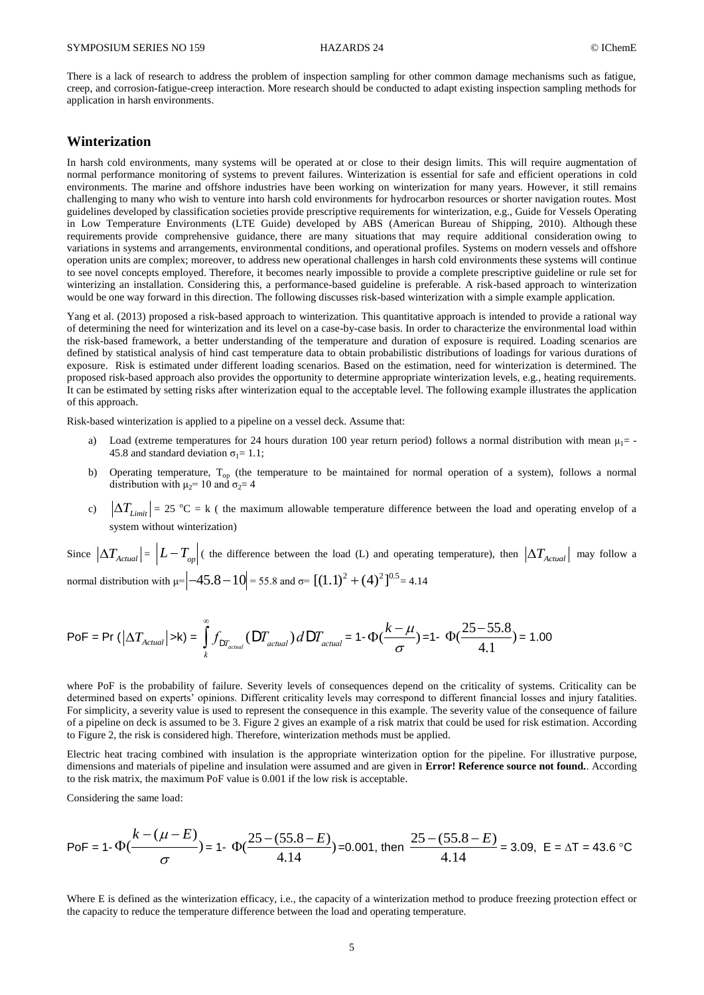There is a lack of research to address the problem of inspection sampling for other common damage mechanisms such as fatigue, creep, and corrosion-fatigue-creep interaction. More research should be conducted to adapt existing inspection sampling methods for application in harsh environments.

## **Winterization**

In harsh cold environments, many systems will be operated at or close to their design limits. This will require augmentation of normal performance monitoring of systems to prevent failures. Winterization is essential for safe and efficient operations in cold environments. The marine and offshore industries have been working on winterization for many years. However, it still remains challenging to many who wish to venture into harsh cold environments for hydrocarbon resources or shorter navigation routes. Most guidelines developed by classification societies provide prescriptive requirements for winterization, e.g., Guide for Vessels Operating in Low Temperature Environments (LTE Guide) developed by ABS (American Bureau of Shipping, 2010). Although these requirements provide comprehensive guidance, there are many situations that may require additional consideration owing to variations in systems and arrangements, environmental conditions, and operational profiles. Systems on modern vessels and offshore operation units are complex; moreover, to address new operational challenges in harsh cold environments these systems will continue to see novel concepts employed. Therefore, it becomes nearly impossible to provide a complete prescriptive guideline or rule set for winterizing an installation. Considering this, a performance-based guideline is preferable. A risk-based approach to winterization would be one way forward in this direction. The following discusses risk-based winterization with a simple example application.

Yang et al. (2013) proposed a risk-based approach to winterization. This quantitative approach is intended to provide a rational way of determining the need for winterization and its level on a case-by-case basis. In order to characterize the environmental load within the risk-based framework, a better understanding of the temperature and duration of exposure is required. Loading scenarios are defined by statistical analysis of hind cast temperature data to obtain probabilistic distributions of loadings for various durations of exposure. Risk is estimated under different loading scenarios. Based on the estimation, need for winterization is determined. The proposed risk-based approach also provides the opportunity to determine appropriate winterization levels, e.g., heating requirements. It can be estimated by setting risks after winterization equal to the acceptable level. The following example illustrates the application of this approach.

Risk-based winterization is applied to a pipeline on a vessel deck. Assume that:

- a) Load (extreme temperatures for 24 hours duration 100 year return period) follows a normal distribution with mean  $\mu_1$  = -45.8 and standard deviation  $\sigma_1 = 1.1$ ;
- b) Operating temperature, T<sub>op</sub> (the temperature to be maintained for normal operation of a system), follows a normal distribution with  $\mu_2$ = 10 and  $\sigma_2$ = 4
- c)  $|\Delta T_{Limit}| = 25 \text{ °C} = k$  (the maximum allowable temperature difference between the load and operating envelop of a system without winterization)

Since  $|\Delta T_{Actual}| = |L - T_{op}|$  (the difference between the load (L) and operating temperature), then  $|\Delta T_{Actual}|$  may follow a normal distribution with  $\mu$ =  $\left[-45.8-10\right]$  = 55.8 and  $\sigma$ =  $\left[ (1.1)^2 + (4)^2 \right]^{0.5}$  = 4.14

$$
\text{PoF} = \Pr\left( |\Delta T_{\text{Actual}}| > k \right) = \int_{k}^{\infty} f_{\text{DT}_{\text{actual}}}(\text{D}T_{\text{actual}}) \, d\text{D}T_{\text{actual}} = 1 - \Phi(\frac{k - \mu}{\sigma}) = 1 - \Phi(\frac{25 - 55.8}{4.1}) = 1.00
$$

where PoF is the probability of failure. Severity levels of consequences depend on the criticality of systems. Criticality can be determined based on experts' opinions. Different criticality levels may correspond to different financial losses and injury fatalities. For simplicity, a severity value is used to represent the consequence in this example. The severity value of the consequence of failure of a pipeline on deck is assumed to be 3. Figure 2 gives an example of a risk matrix that could be used for risk estimation. According to Figure 2, the risk is considered high. Therefore, winterization methods must be applied.

Electric heat tracing combined with insulation is the appropriate winterization option for the pipeline. For illustrative purpose, dimensions and materials of pipeline and insulation were assumed and are given in **Error! Reference source not found.**. According to the risk matrix, the maximum PoF value is 0.001 if the low risk is acceptable.

Considering the same load:

PoF = 1- 
$$
\Phi\left(\frac{k-(\mu-E)}{\sigma}\right)
$$
 = 1-  $\Phi\left(\frac{25-(55.8-E)}{4.14}\right)$  = 0.001, then  $\frac{25-(55.8-E)}{4.14}$  = 3.09, E =  $\Delta T$  = 43.6 °C

Where E is defined as the winterization efficacy, i.e., the capacity of a winterization method to produce freezing protection effect or the capacity to reduce the temperature difference between the load and operating temperature.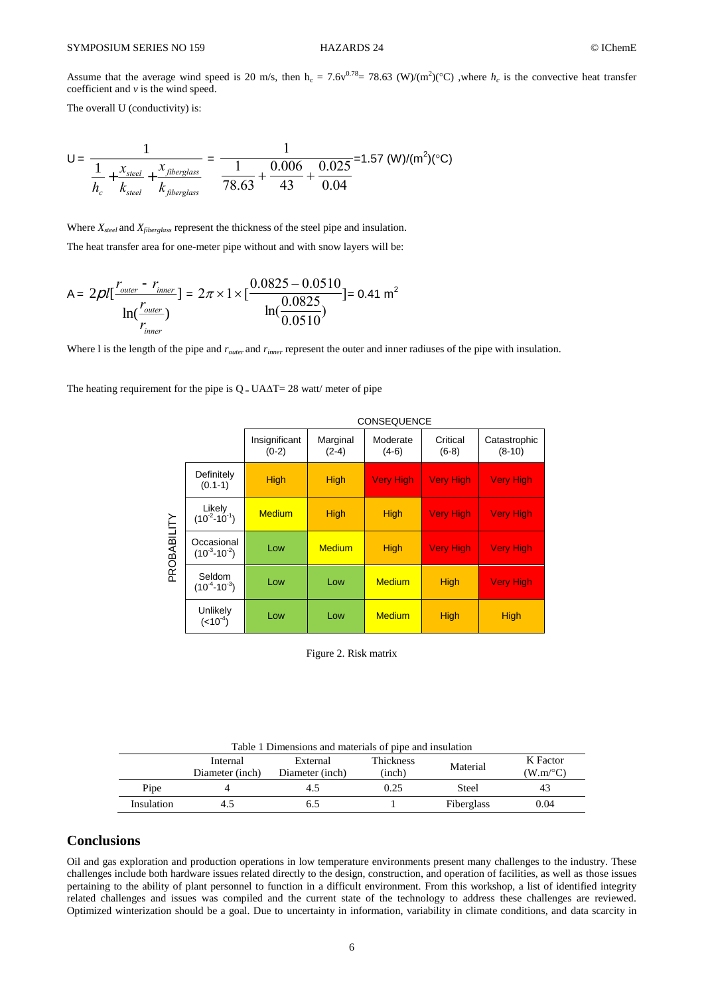Assume that the average wind speed is 20 m/s, then  $h_c = 7.6v^{0.78} = 78.63$  (W)/(m<sup>2</sup>)(°C) ,where  $h_c$  is the convective heat transfer coefficient and *v* is the wind speed.

The overall U (conductivity) is:

$$
U = \frac{1}{\frac{1}{h_c} + \frac{x_{steel}}{k_{steel}} + \frac{x_{fiberglass}}{k_{fiberglass}}}
$$
 = 
$$
\frac{1}{78.63} + \frac{0.006}{43} + \frac{0.025}{0.04}
$$
 = 1.57 (W)/(m<sup>2</sup>)(°C)

 The heat transfer area for one-meter pipe without and with snow layers will be: Where *Xsteel* and *Xfiberglass* represent the thickness of the steel pipe and insulation.

A = 
$$
2\rho l \left[ \frac{r_{outer} - r_{inner}}{\ln(\frac{r_{outer}}{r_{inner}})} \right] = 2\pi \times 1 \times \left[ \frac{0.0825 - 0.0510}{\ln(\frac{0.0825}{0.0510})} \right] = 0.41 \text{ m}^2
$$

Where I is the length of the pipe and  $r_{outer}$  and  $r_{inner}$  represent the outer and inner radiuses of the pipe with insulation.

The heating requirement for the pipe is  $Q = UA\Delta T = 28$  watt/ meter of pipe

|             |                                   | <b>CONSEQUENCE</b>       |                     |                     |                     |                          |  |  |
|-------------|-----------------------------------|--------------------------|---------------------|---------------------|---------------------|--------------------------|--|--|
|             |                                   | Insignificant<br>$(0-2)$ | Marginal<br>$(2-4)$ | Moderate<br>$(4-6)$ | Critical<br>$(6-8)$ | Catastrophic<br>$(8-10)$ |  |  |
| PROBABILITY | Definitely<br>$(0.1-1)$           | <b>High</b>              | <b>High</b>         | <b>Very High</b>    | <b>Very High</b>    | <b>Very High</b>         |  |  |
|             | Likely<br>$(10^{-2}-10^{-1})$     | <b>Medium</b>            | <b>High</b>         | <b>High</b>         | <b>Very High</b>    | <b>Very High</b>         |  |  |
|             | Occasional<br>$(10^{-3}-10^{-2})$ | Low                      | <b>Medium</b>       | <b>High</b>         | <b>Very High</b>    | <b>Very High</b>         |  |  |
|             | Seldom<br>$(10^{-4}-10^{-3})$     | Low                      | Low                 | <b>Medium</b>       | High                | <b>Very High</b>         |  |  |
|             | Unlikely<br>$(<10^{-4})$          | Low                      | Low                 | <b>Medium</b>       | High                | <b>High</b>              |  |  |

Figure 2. Risk matrix

| Table 1 Dimensions and materials of pipe and insulation |                             |                             |                     |            |                              |  |  |  |  |
|---------------------------------------------------------|-----------------------------|-----------------------------|---------------------|------------|------------------------------|--|--|--|--|
|                                                         | Internal<br>Diameter (inch) | External<br>Diameter (inch) | Thickness<br>(inch) | Material   | K Factor<br>$(W.m^{\circ}C)$ |  |  |  |  |
| Pipe                                                    |                             | 4.5                         | 0.25                | Steel      | 43                           |  |  |  |  |
| Insulation                                              |                             |                             |                     | Fiberglass | 0.04                         |  |  |  |  |

## **Conclusions**

Oil and gas exploration and production operations in low temperature environments present many challenges to the industry. These challenges include both hardware issues related directly to the design, construction, and operation of facilities, as well as those issues pertaining to the ability of plant personnel to function in a difficult environment. From this workshop, a list of identified integrity related challenges and issues was compiled and the current state of the technology to address these challenges are reviewed. Optimized winterization should be a goal. Due to uncertainty in information, variability in climate conditions, and data scarcity in